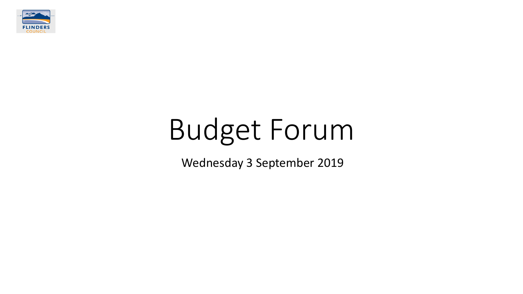

# Budget Forum

Wednesday 3 September 2019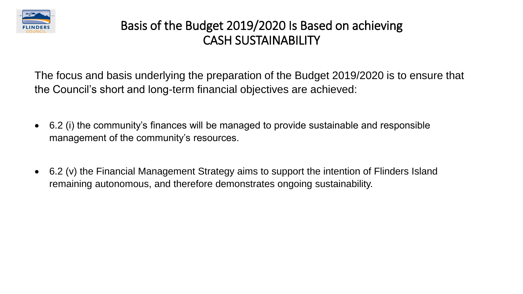

## Basis of the Budget 2019/2020 Is Based on achieving CASH SUSTAINABILITY

The focus and basis underlying the preparation of the Budget 2019/2020 is to ensure that the Council's short and long-term financial objectives are achieved:

- 6.2 (i) the community's finances will be managed to provide sustainable and responsible management of the community's resources.
- 6.2 (v) the Financial Management Strategy aims to support the intention of Flinders Island remaining autonomous, and therefore demonstrates ongoing sustainability.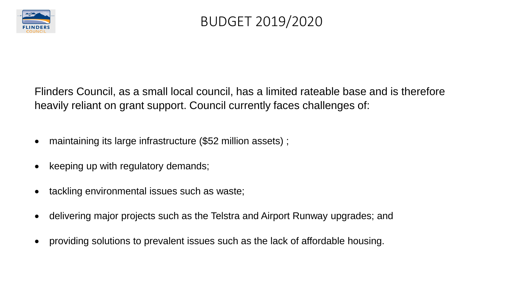

## BUDGET 2019/2020

Flinders Council, as a small local council, has a limited rateable base and is therefore heavily reliant on grant support. Council currently faces challenges of:

- maintaining its large infrastructure (\$52 million assets);
- keeping up with regulatory demands;
- tackling environmental issues such as waste;
- delivering major projects such as the Telstra and Airport Runway upgrades; and
- providing solutions to prevalent issues such as the lack of affordable housing.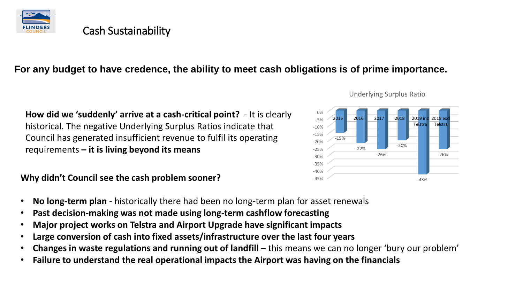

#### Cash Sustainability

#### **For any budget to have credence, the ability to meet cash obligations is of prime importance.**

**How did we 'suddenly' arrive at a cash-critical point?** - It is clearly historical. The negative Underlying Surplus Ratios indicate that Council has generated insufficient revenue to fulfil its operating requirements **– it is living beyond its means**

**Why didn't Council see the cash problem sooner?** 



#### Underlying Surplus Ratio

- **No long-term plan** historically there had been no long-term plan for asset renewals
- **Past decision-making was not made using long-term cashflow forecasting**
- **Major project works on Telstra and Airport Upgrade have significant impacts**
- **Large conversion of cash into fixed assets/infrastructure over the last four years**
- **Changes in waste regulations and running out of landfill** this means we can no longer 'bury our problem'
- **Failure to understand the real operational impacts the Airport was having on the financials**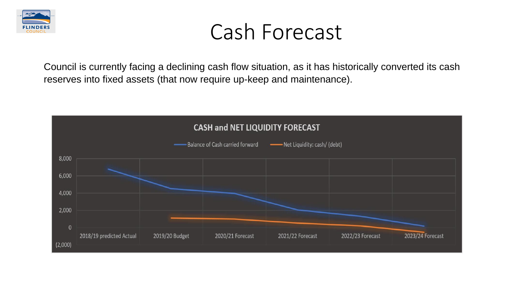

## Cash Forecast

Council is currently facing a declining cash flow situation, as it has historically converted its cash reserves into fixed assets (that now require up-keep and maintenance).

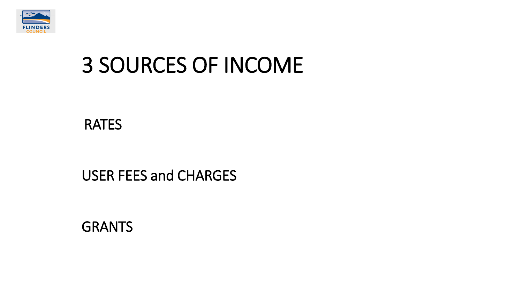

## 3 SOURCES OF INCOME

## RATES

## USER FEES and CHARGES

### **GRANTS**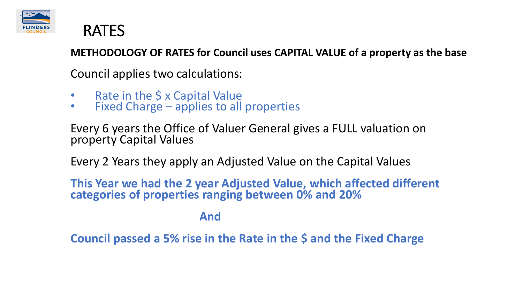



#### **METHODOLOGY OF RATES for Council uses CAPITAL VALUE of a property as the base**

Council applies two calculations:

- Rate in the  $\frac{1}{2}$  x Capital Value
- Fixed Charge applies to all properties

Every 6 years the Office of Valuer General gives a FULL valuation on property Capital Values

Every 2 Years they apply an Adjusted Value on the Capital Values

**This Year we had the 2 year Adjusted Value, which affected different categories of properties ranging between 0% and 20%**

### **And**

**Council passed a 5% rise in the Rate in the \$ and the Fixed Charge**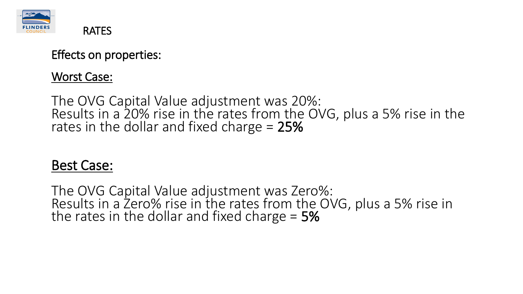

Effects on properties:

#### Worst Case:

The OVG Capital Value adjustment was 20%: Results in a 20% rise in the rates from the OVG, plus a 5% rise in the rates in the dollar and fixed charge  $= 25\%$ 

## Best Case:

The OVG Capital Value adjustment was Zero%: Results in a Zero% rise in the rates from the OVG, plus a 5% rise in the rates in the dollar and fixed charge  $=$  5%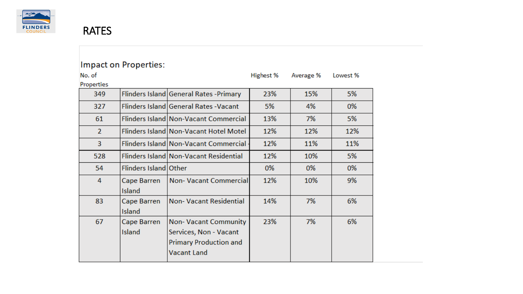

#### **Impact on Properties:**

**Highest %** Average % Lowest %

No. of Properties

| ,,,,,,,,,,,    |                              |                                                                                                              |     |     |     |
|----------------|------------------------------|--------------------------------------------------------------------------------------------------------------|-----|-----|-----|
| 349            |                              | Flinders Island General Rates - Primary                                                                      | 23% | 15% | 5%  |
| 327            |                              | Flinders Island General Rates - Vacant                                                                       | 5%  | 4%  | 0%  |
| 61             |                              | Flinders Island Non-Vacant Commercial                                                                        | 13% | 7%  | 5%  |
| $\overline{2}$ |                              | Flinders Island Non-Vacant Hotel Motel                                                                       | 12% | 12% | 12% |
| 3              |                              | Flinders Island Non-Vacant Commercial                                                                        | 12% | 11% | 11% |
| 528            |                              | Flinders Island Non-Vacant Residential                                                                       | 12% | 10% | 5%  |
| 54             | Flinders Island Other        |                                                                                                              | 0%  | 0%  | 0%  |
| 4              | Cape Barren<br><b>Island</b> | <b>Non-Vacant Commercial</b>                                                                                 | 12% | 10% | 9%  |
| 83             | Cape Barren<br><b>Island</b> | <b>Non-Vacant Residential</b>                                                                                | 14% | 7%  | 6%  |
| 67             | Cape Barren<br><b>Island</b> | <b>Non-Vacant Community</b><br>Services, Non - Vacant<br><b>Primary Production and</b><br><b>Vacant Land</b> | 23% | 7%  | 6%  |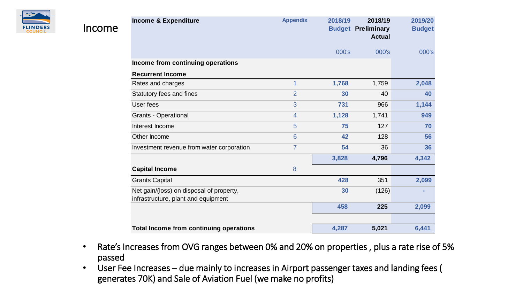

| Income | <b>Income &amp; Expenditure</b>                                                 | <b>Appendix</b> | 2018/19 | 2018/19<br><b>Budget Preliminary</b><br><b>Actual</b> | 2019/20<br><b>Budget</b> |
|--------|---------------------------------------------------------------------------------|-----------------|---------|-------------------------------------------------------|--------------------------|
|        |                                                                                 |                 | 000's   | 000's                                                 | 000's                    |
|        | Income from continuing operations                                               |                 |         |                                                       |                          |
|        | <b>Recurrent Income</b>                                                         |                 |         |                                                       |                          |
|        | Rates and charges                                                               | $\mathbf{1}$    | 1,768   | 1,759                                                 | 2,048                    |
|        | Statutory fees and fines                                                        | $\overline{2}$  | 30      | 40                                                    | 40                       |
|        | User fees                                                                       | 3               | 731     | 966                                                   | 1,144                    |
|        | <b>Grants - Operational</b>                                                     | 4               | 1,128   | 1,741                                                 | 949                      |
|        | Interest Income                                                                 | 5               | 75      | 127                                                   | 70                       |
|        | Other Income                                                                    | 6               | 42      | 128                                                   | 56                       |
|        | Investment revenue from water corporation                                       | $\overline{7}$  | 54      | 36                                                    | 36                       |
|        |                                                                                 |                 | 3,828   | 4,796                                                 | 4,342                    |
|        | <b>Capital Income</b>                                                           | 8               |         |                                                       |                          |
|        | <b>Grants Capital</b>                                                           |                 | 428     | 351                                                   | 2,099                    |
|        | Net gain/(loss) on disposal of property,<br>infrastructure, plant and equipment |                 | 30      | (126)                                                 |                          |
|        |                                                                                 |                 | 458     | 225                                                   | 2,099                    |
|        |                                                                                 |                 |         |                                                       |                          |
|        | <b>Total Income from continuing operations</b>                                  |                 | 4,287   | 5,021                                                 | 6,441                    |

- Rate's Increases from OVG ranges between 0% and 20% on properties, plus a rate rise of 5% passed
- User Fee Increases due mainly to increases in Airport passenger taxes and landing fees ( generates 70K) and Sale of Aviation Fuel (we make no profits)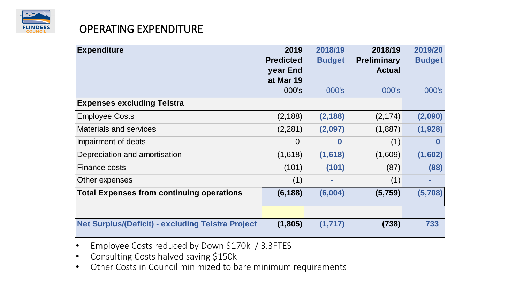

#### OPERATING EXPENDITURE

| <b>Expenditure</b>                                       | 2019<br><b>Predicted</b><br>year End<br>at Mar 19<br>000's | 2018/19<br><b>Budget</b><br>000's | 2018/19<br><b>Preliminary</b><br><b>Actual</b><br>000's | 2019/20<br><b>Budget</b><br>000's |
|----------------------------------------------------------|------------------------------------------------------------|-----------------------------------|---------------------------------------------------------|-----------------------------------|
| <b>Expenses excluding Telstra</b>                        |                                                            |                                   |                                                         |                                   |
| <b>Employee Costs</b>                                    | (2, 188)                                                   | (2, 188)                          | (2, 174)                                                | (2,090)                           |
| <b>Materials and services</b>                            | (2,281)                                                    | (2,097)                           | (1,887)                                                 | (1,928)                           |
| Impairment of debts                                      | $\overline{0}$                                             | $\boldsymbol{0}$                  | (1)                                                     | $\bf{0}$                          |
| Depreciation and amortisation                            | (1,618)                                                    | (1,618)                           | (1,609)                                                 | (1,602)                           |
| Finance costs                                            | (101)                                                      | (101)                             | (87)                                                    | (88)                              |
| Other expenses                                           | (1)                                                        |                                   | (1)                                                     |                                   |
| <b>Total Expenses from continuing operations</b>         | (6, 188)                                                   | (6,004)                           | (5,759)                                                 | (5,708)                           |
| <b>Net Surplus/(Deficit) - excluding Telstra Project</b> | (1,805)                                                    | (1,717)                           | (738)                                                   | 733                               |

- Employee Costs reduced by Down \$170k / 3.3FTES
- Consulting Costs halved saving \$150k
- Other Costs in Council minimized to bare minimum requirements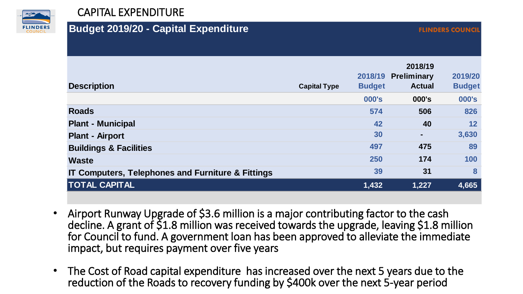

| <b>Budget 2019/20 - Capital Expenditure</b>                  |                     |                          | <b>FLINDERS COUNCIL</b>             |                          |
|--------------------------------------------------------------|---------------------|--------------------------|-------------------------------------|--------------------------|
|                                                              |                     |                          | 2018/19                             |                          |
| <b>Description</b>                                           | <b>Capital Type</b> | 2018/19<br><b>Budget</b> | <b>Preliminary</b><br><b>Actual</b> | 2019/20<br><b>Budget</b> |
|                                                              |                     | 000's                    | 000's                               | 000's                    |
| <b>Roads</b>                                                 |                     | 574                      | 506                                 | 826                      |
| <b>Plant - Municipal</b>                                     |                     | 42                       | 40                                  | 12                       |
| <b>Plant - Airport</b>                                       |                     | 30                       |                                     | 3,630                    |
| <b>Buildings &amp; Facilities</b>                            |                     | 497                      | 475                                 | 89                       |
| <b>Waste</b>                                                 |                     | 250                      | 174                                 | 100                      |
| <b>IT Computers, Telephones and Furniture &amp; Fittings</b> |                     | 39                       | 31                                  | 8                        |
| <b>TOTAL CAPITAL</b>                                         |                     | 1,432                    | 1,227                               | 4,665                    |

- Airport Runway Upgrade of \$3.6 million is a major contributing factor to the cash decline. A grant of  $\xi$ 1.8 million was received towards the upgrade, leaving  $\xi$ 1.8 million for Council to fund. A government loan has been approved to alleviate the immediate impact, but requires payment over five years
- The Cost of Road capital expenditure has increased over the next 5 years due to the reduction of the Roads to recovery funding by \$400k over the next 5-year period